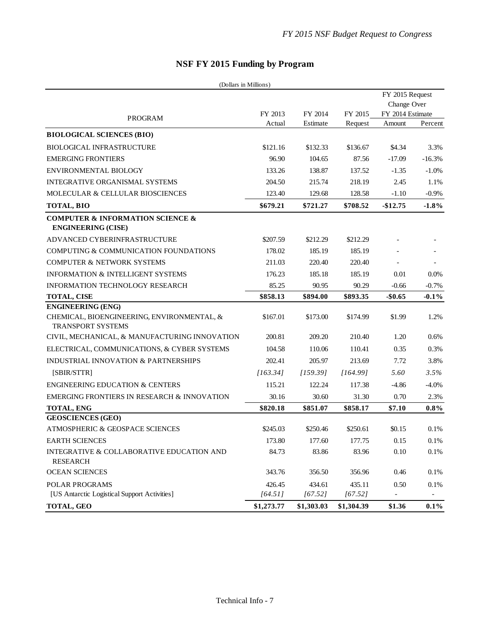| NSF FY 2015 Funding by Program |  |  |
|--------------------------------|--|--|
|--------------------------------|--|--|

| (Dollars in Millions)                                                        |            |            |            |                                |          |
|------------------------------------------------------------------------------|------------|------------|------------|--------------------------------|----------|
|                                                                              |            |            |            | FY 2015 Request<br>Change Over |          |
|                                                                              |            |            |            |                                |          |
| <b>PROGRAM</b>                                                               | FY 2013    | FY 2014    | FY 2015    | FY 2014 Estimate               |          |
|                                                                              | Actual     | Estimate   | Request    | Amount                         | Percent  |
| <b>BIOLOGICAL SCIENCES (BIO)</b>                                             |            |            |            |                                |          |
| <b>BIOLOGICAL INFRASTRUCTURE</b>                                             | \$121.16   | \$132.33   | \$136.67   | \$4.34                         | 3.3%     |
| <b>EMERGING FRONTIERS</b>                                                    | 96.90      | 104.65     | 87.56      | $-17.09$                       | $-16.3%$ |
| ENVIRONMENTAL BIOLOGY                                                        | 133.26     | 138.87     | 137.52     | $-1.35$                        | $-1.0%$  |
| <b>INTEGRATIVE ORGANISMAL SYSTEMS</b>                                        | 204.50     | 215.74     | 218.19     | 2.45                           | 1.1%     |
| MOLECULAR & CELLULAR BIOSCIENCES                                             | 123.40     | 129.68     | 128.58     | $-1.10$                        | $-0.9%$  |
| <b>TOTAL, BIO</b>                                                            | \$679.21   | \$721.27   | \$708.52   | $-$12.75$                      | $-1.8%$  |
| <b>COMPUTER &amp; INFORMATION SCIENCE &amp;</b><br><b>ENGINEERING (CISE)</b> |            |            |            |                                |          |
| ADVANCED CYBERINFRASTRUCTURE                                                 | \$207.59   | \$212.29   | \$212.29   |                                |          |
| COMPUTING & COMMUNICATION FOUNDATIONS                                        | 178.02     | 185.19     | 185.19     |                                |          |
| <b>COMPUTER &amp; NETWORK SYSTEMS</b>                                        | 211.03     | 220.40     | 220.40     |                                |          |
| <b>INFORMATION &amp; INTELLIGENT SYSTEMS</b>                                 | 176.23     | 185.18     | 185.19     | 0.01                           | 0.0%     |
| <b>INFORMATION TECHNOLOGY RESEARCH</b>                                       | 85.25      | 90.95      | 90.29      | $-0.66$                        | $-0.7%$  |
| <b>TOTAL, CISE</b>                                                           | \$858.13   | \$894.00   | \$893.35   | $-$0.65$                       | $-0.1\%$ |
| <b>ENGINEERING (ENG)</b>                                                     |            |            |            |                                |          |
| CHEMICAL, BIOENGINEERING, ENVIRONMENTAL, &<br><b>TRANSPORT SYSTEMS</b>       | \$167.01   | \$173.00   | \$174.99   | \$1.99                         | 1.2%     |
| CIVIL, MECHANICAL, & MANUFACTURING INNOVATION                                | 200.81     | 209.20     | 210.40     | 1.20                           | 0.6%     |
| ELECTRICAL, COMMUNICATIONS, & CYBER SYSTEMS                                  | 104.58     | 110.06     | 110.41     | 0.35                           | 0.3%     |
| <b>INDUSTRIAL INNOVATION &amp; PARTNERSHIPS</b>                              | 202.41     | 205.97     | 213.69     | 7.72                           | 3.8%     |
| [SBIR/STTR]                                                                  | [163.34]   | [159.39]   | [164.99]   | 5.60                           | 3.5%     |
| <b>ENGINEERING EDUCATION &amp; CENTERS</b>                                   | 115.21     | 122.24     | 117.38     | $-4.86$                        | $-4.0%$  |
| <b>EMERGING FRONTIERS IN RESEARCH &amp; INNOVATION</b>                       | 30.16      | 30.60      | 31.30      | 0.70                           | 2.3%     |
| TOTAL, ENG                                                                   | \$820.18   | \$851.07   | \$858.17   | \$7.10                         | $0.8\%$  |
| <b>GEOSCIENCES (GEO)</b>                                                     |            |            |            |                                |          |
| ATMOSPHERIC & GEOSPACE SCIENCES                                              | \$245.03   | \$250.46   | \$250.61   | \$0.15                         | 0.1%     |
| <b>EARTH SCIENCES</b>                                                        | 173.80     | 177.60     | 177.75     | 0.15                           | $0.1\%$  |
| INTEGRATIVE & COLLABORATIVE EDUCATION AND<br><b>RESEARCH</b>                 | 84.73      | 83.86      | 83.96      | 0.10                           | 0.1%     |
| <b>OCEAN SCIENCES</b>                                                        | 343.76     | 356.50     | 356.96     | 0.46                           | 0.1%     |
| POLAR PROGRAMS                                                               | 426.45     | 434.61     | 435.11     | 0.50                           | $0.1\%$  |
| [US Antarctic Logistical Support Activities]                                 | [64.51]    | [67.52]    | [67.52]    |                                |          |
| TOTAL, GEO                                                                   | \$1,273.77 | \$1,303.03 | \$1,304.39 | \$1.36                         | 0.1%     |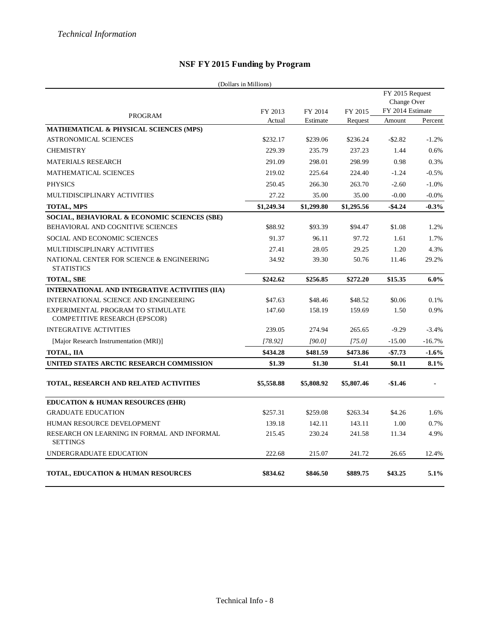## **NSF FY 2015 Funding by Program**

|                                                                    | (Dollars in Millions) |            |            |                                                    |          |
|--------------------------------------------------------------------|-----------------------|------------|------------|----------------------------------------------------|----------|
|                                                                    | FY 2013               | FY 2014    | FY 2015    | FY 2015 Request<br>Change Over<br>FY 2014 Estimate |          |
| <b>PROGRAM</b>                                                     | Actual                | Estimate   | Request    | Amount                                             | Percent  |
| <b>MATHEMATICAL &amp; PHYSICAL SCIENCES (MPS)</b>                  |                       |            |            |                                                    |          |
| <b>ASTRONOMICAL SCIENCES</b>                                       | \$232.17              | \$239.06   | \$236.24   | $-$ \$2.82                                         | $-1.2%$  |
| <b>CHEMISTRY</b>                                                   | 229.39                | 235.79     | 237.23     | 1.44                                               | 0.6%     |
| <b>MATERIALS RESEARCH</b>                                          | 291.09                | 298.01     | 298.99     | 0.98                                               | 0.3%     |
| <b>MATHEMATICAL SCIENCES</b>                                       | 219.02                | 225.64     | 224.40     | $-1.24$                                            | $-0.5%$  |
| <b>PHYSICS</b>                                                     | 250.45                | 266.30     | 263.70     | $-2.60$                                            | $-1.0%$  |
| MULTIDISCIPLINARY ACTIVITIES                                       | 27.22                 | 35.00      | 35.00      | $-0.00$                                            | $-0.0%$  |
| <b>TOTAL, MPS</b>                                                  | \$1,249.34            | \$1,299.80 | \$1,295.56 | $-$ \$4.24                                         | $-0.3%$  |
| SOCIAL, BEHAVIORAL & ECONOMIC SCIENCES (SBE)                       |                       |            |            |                                                    |          |
| BEHAVIORAL AND COGNITIVE SCIENCES                                  | \$88.92               | \$93.39    | \$94.47    | \$1.08                                             | 1.2%     |
| SOCIAL AND ECONOMIC SCIENCES                                       | 91.37                 | 96.11      | 97.72      | 1.61                                               | 1.7%     |
| MULTIDISCIPLINARY ACTIVITIES                                       | 27.41                 | 28.05      | 29.25      | 1.20                                               | 4.3%     |
| NATIONAL CENTER FOR SCIENCE & ENGINEERING<br><b>STATISTICS</b>     | 34.92                 | 39.30      | 50.76      | 11.46                                              | 29.2%    |
| <b>TOTAL, SBE</b>                                                  | \$242.62              | \$256.85   | \$272.20   | \$15.35                                            | $6.0\%$  |
| INTERNATIONAL AND INTEGRATIVE ACTIVITIES (IIA)                     |                       |            |            |                                                    |          |
| INTERNATIONAL SCIENCE AND ENGINEERING                              | \$47.63               | \$48.46    | \$48.52    | \$0.06                                             | 0.1%     |
| EXPERIMENTAL PROGRAM TO STIMULATE<br>COMPETITIVE RESEARCH (EPSCOR) | 147.60                | 158.19     | 159.69     | 1.50                                               | 0.9%     |
| <b>INTEGRATIVE ACTIVITIES</b>                                      | 239.05                | 274.94     | 265.65     | $-9.29$                                            | $-3.4%$  |
| [Major Research Instrumentation (MRI)]                             | [78.92]               | [90.0]     | [75.0]     | $-15.00$                                           | $-16.7%$ |
| <b>TOTAL, IIA</b>                                                  | \$434.28              | \$481.59   | \$473.86   | $-$7.73$                                           | $-1.6%$  |
| UNITED STATES ARCTIC RESEARCH COMMISSION                           | \$1.39                | \$1.30     | \$1.41     | \$0.11                                             | 8.1%     |
| TOTAL, RESEARCH AND RELATED ACTIVITIES                             | \$5,558.88            | \$5,808.92 | \$5,807.46 | $-\$1.46$                                          |          |
| <b>EDUCATION &amp; HUMAN RESOURCES (EHR)</b>                       |                       |            |            |                                                    |          |
| <b>GRADUATE EDUCATION</b>                                          | \$257.31              | \$259.08   | \$263.34   | \$4.26                                             | 1.6%     |
| HUMAN RESOURCE DEVELOPMENT                                         | 139.18                | 142.11     | 143.11     | 1.00                                               | 0.7%     |
| RESEARCH ON LEARNING IN FORMAL AND INFORMAL<br><b>SETTINGS</b>     | 215.45                | 230.24     | 241.58     | 11.34                                              | 4.9%     |
| UNDERGRADUATE EDUCATION                                            | 222.68                | 215.07     | 241.72     | 26.65                                              | 12.4%    |
| <b>TOTAL, EDUCATION &amp; HUMAN RESOURCES</b>                      | \$834.62              | \$846.50   | \$889.75   | \$43.25                                            | 5.1%     |